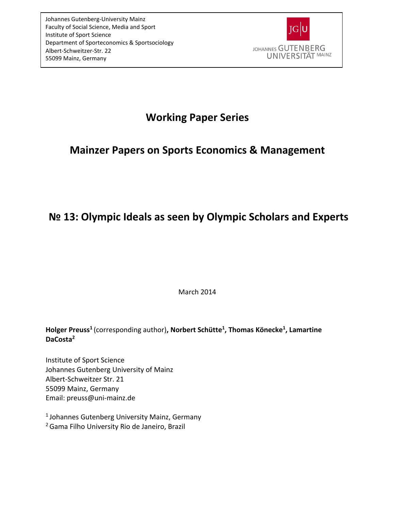

# **Working Paper Series**

# **Mainzer Papers on Sports Economics & Management**

# **№ 13: Olympic Ideals as seen by Olympic Scholars and Experts**

March 2014

# **Holger Preuss<sup>1</sup>**(corresponding author)**, Norbert Schütte<sup>1</sup> , Thomas Könecke<sup>1</sup> , Lamartine DaCosta<sup>2</sup>**

Institute of Sport Science Johannes Gutenberg University of Mainz Albert-Schweitzer Str. 21 55099 Mainz, Germany Email: preus[s@uni-mainz.de](mailto:preuss@uni-mainz.de)

<sup>1</sup> Johannes Gutenberg University Mainz, Germany <sup>2</sup>Gama Filho University Rio de Janeiro, Brazil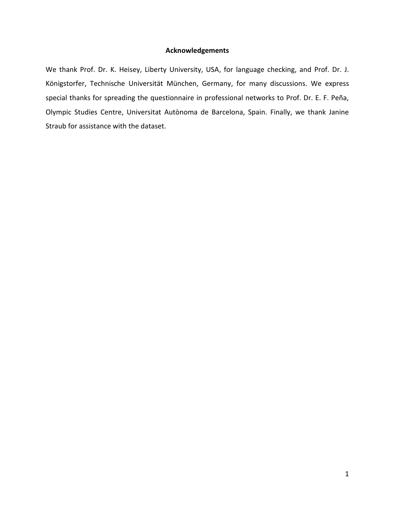## **Acknowledgements**

We thank Prof. Dr. K. Heisey, Liberty University, USA, for language checking, and Prof. Dr. J. Königstorfer, Technische Universität München, Germany, for many discussions. We express special thanks for spreading the questionnaire in professional networks to Prof. Dr. E. F. Peña, Olympic Studies Centre, Universitat Autònoma de Barcelona, Spain. Finally, we thank Janine Straub for assistance with the dataset.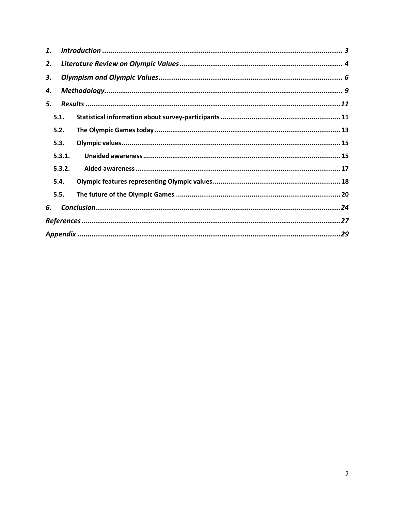| 1. |        |  |  |  |  |  |  |
|----|--------|--|--|--|--|--|--|
| 2. |        |  |  |  |  |  |  |
| 3. |        |  |  |  |  |  |  |
| 4. |        |  |  |  |  |  |  |
| 5. |        |  |  |  |  |  |  |
|    | 5.1.   |  |  |  |  |  |  |
|    | 5.2.   |  |  |  |  |  |  |
|    | 5.3.   |  |  |  |  |  |  |
|    | 5.3.1. |  |  |  |  |  |  |
|    | 5.3.2. |  |  |  |  |  |  |
|    | 5.4.   |  |  |  |  |  |  |
|    | 5.5.   |  |  |  |  |  |  |
| 6. |        |  |  |  |  |  |  |
|    |        |  |  |  |  |  |  |
|    |        |  |  |  |  |  |  |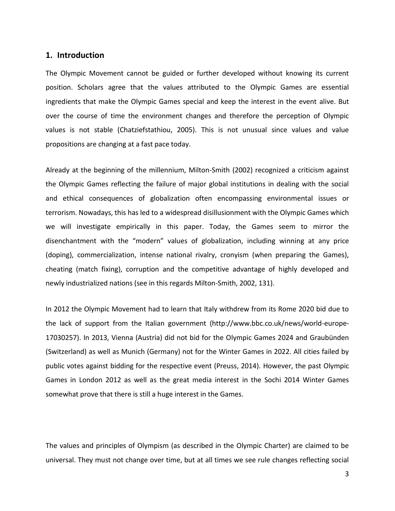### <span id="page-3-0"></span>**1. Introduction**

The Olympic Movement cannot be guided or further developed without knowing its current position. Scholars agree that the values attributed to the Olympic Games are essential ingredients that make the Olympic Games special and keep the interest in the event alive. But over the course of time the environment changes and therefore the perception of Olympic values is not stable (Chatziefstathiou, 2005). This is not unusual since values and value propositions are changing at a fast pace today.

Already at the beginning of the millennium, Milton-Smith (2002) recognized a criticism against the Olympic Games reflecting the failure of major global institutions in dealing with the social and ethical consequences of globalization often encompassing environmental issues or terrorism. Nowadays, this has led to a widespread disillusionment with the Olympic Games which we will investigate empirically in this paper. Today, the Games seem to mirror the disenchantment with the "modern" values of globalization, including winning at any price (doping), commercialization, intense national rivalry, cronyism (when preparing the Games), cheating (match fixing), corruption and the competitive advantage of highly developed and newly industrialized nations (see in this regards Milton-Smith, 2002, 131).

In 2012 the Olympic Movement had to learn that Italy withdrew from its Rome 2020 bid due to the lack of support from the Italian government (http://www.bbc.co.uk/news/world-europe-17030257). In 2013, Vienna (Austria) did not bid for the Olympic Games 2024 and Graubünden (Switzerland) as well as Munich (Germany) not for the Winter Games in 2022. All cities failed by public votes against bidding for the respective event (Preuss, 2014). However, the past Olympic Games in London 2012 as well as the great media interest in the Sochi 2014 Winter Games somewhat prove that there is still a huge interest in the Games.

The values and principles of Olympism (as described in the Olympic Charter) are claimed to be universal. They must not change over time, but at all times we see rule changes reflecting social

3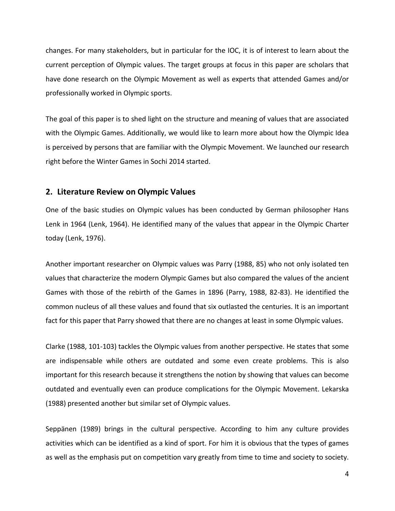changes. For many stakeholders, but in particular for the IOC, it is of interest to learn about the current perception of Olympic values. The target groups at focus in this paper are scholars that have done research on the Olympic Movement as well as experts that attended Games and/or professionally worked in Olympic sports.

The goal of this paper is to shed light on the structure and meaning of values that are associated with the Olympic Games. Additionally, we would like to learn more about how the Olympic Idea is perceived by persons that are familiar with the Olympic Movement. We launched our research right before the Winter Games in Sochi 2014 started.

## <span id="page-4-0"></span>**2. Literature Review on Olympic Values**

One of the basic studies on Olympic values has been conducted by German philosopher Hans Lenk in 1964 (Lenk, 1964). He identified many of the values that appear in the Olympic Charter today (Lenk, 1976).

Another important researcher on Olympic values was Parry (1988, 85) who not only isolated ten values that characterize the modern Olympic Games but also compared the values of the ancient Games with those of the rebirth of the Games in 1896 (Parry, 1988, 82-83). He identified the common nucleus of all these values and found that six outlasted the centuries. It is an important fact for this paper that Parry showed that there are no changes at least in some Olympic values.

Clarke (1988, 101-103) tackles the Olympic values from another perspective. He states that some are indispensable while others are outdated and some even create problems. This is also important for this research because it strengthens the notion by showing that values can become outdated and eventually even can produce complications for the Olympic Movement. Lekarska (1988) presented another but similar set of Olympic values.

Seppänen (1989) brings in the cultural perspective. According to him any culture provides activities which can be identified as a kind of sport. For him it is obvious that the types of games as well as the emphasis put on competition vary greatly from time to time and society to society.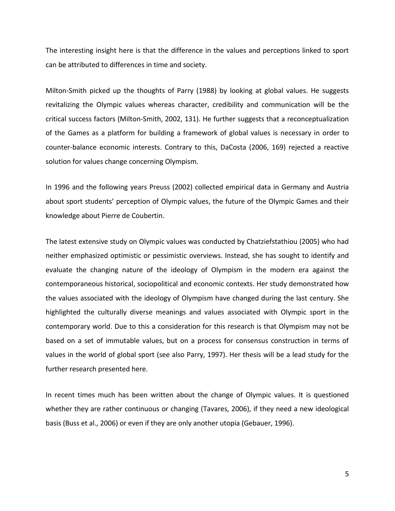The interesting insight here is that the difference in the values and perceptions linked to sport can be attributed to differences in time and society.

Milton-Smith picked up the thoughts of Parry (1988) by looking at global values. He suggests revitalizing the Olympic values whereas character, credibility and communication will be the critical success factors (Milton-Smith, 2002, 131). He further suggests that a reconceptualization of the Games as a platform for building a framework of global values is necessary in order to counter-balance economic interests. Contrary to this, DaCosta (2006, 169) rejected a reactive solution for values change concerning Olympism.

In 1996 and the following years Preuss (2002) collected empirical data in Germany and Austria about sport students' perception of Olympic values, the future of the Olympic Games and their knowledge about Pierre de Coubertin.

The latest extensive study on Olympic values was conducted by Chatziefstathiou (2005) who had neither emphasized optimistic or pessimistic overviews. Instead, she has sought to identify and evaluate the changing nature of the ideology of Olympism in the modern era against the contemporaneous historical, sociopolitical and economic contexts. Her study demonstrated how the values associated with the ideology of Olympism have changed during the last century. She highlighted the culturally diverse meanings and values associated with Olympic sport in the contemporary world. Due to this a consideration for this research is that Olympism may not be based on a set of immutable values, but on a process for consensus construction in terms of values in the world of global sport (see also Parry, 1997). Her thesis will be a lead study for the further research presented here.

In recent times much has been written about the change of Olympic values. It is questioned whether they are rather continuous or changing (Tavares, 2006), if they need a new ideological basis (Buss et al., 2006) or even if they are only another utopia (Gebauer, 1996).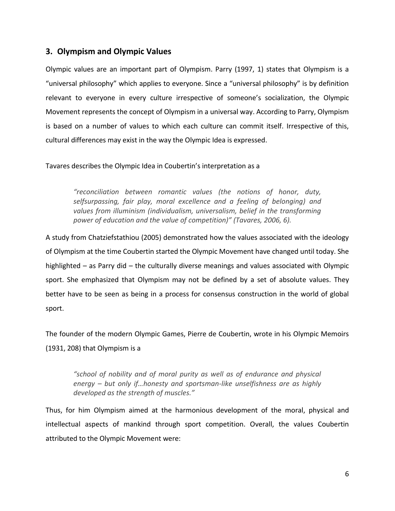## <span id="page-6-0"></span>**3. Olympism and Olympic Values**

Olympic values are an important part of Olympism. Parry (1997, 1) states that Olympism is a "universal philosophy" which applies to everyone. Since a "universal philosophy" is by definition relevant to everyone in every culture irrespective of someone's socialization, the Olympic Movement represents the concept of Olympism in a universal way. According to Parry, Olympism is based on a number of values to which each culture can commit itself. Irrespective of this, cultural differences may exist in the way the Olympic Idea is expressed.

## Tavares describes the Olympic Idea in Coubertin's interpretation as a

*"reconciliation between romantic values (the notions of honor, duty, selfsurpassing, fair play, moral excellence and a feeling of belonging) and*  values from illuminism (individualism, universalism, belief in the transforming *power of education and the value of competition)" (Tavares, 2006, 6).*

A study from Chatziefstathiou (2005) demonstrated how the values associated with the ideology of Olympism at the time Coubertin started the Olympic Movement have changed until today. She highlighted – as Parry did – the culturally diverse meanings and values associated with Olympic sport. She emphasized that Olympism may not be defined by a set of absolute values. They better have to be seen as being in a process for consensus construction in the world of global sport.

The founder of the modern Olympic Games, Pierre de Coubertin, wrote in his Olympic Memoirs (1931, 208) that Olympism is a

*"school of nobility and of moral purity as well as of endurance and physical energy – but only if…honesty and sportsman-like unselfishness are as highly developed as the strength of muscles."* 

Thus, for him Olympism aimed at the harmonious development of the moral, physical and intellectual aspects of mankind through sport competition. Overall, the values Coubertin attributed to the Olympic Movement were: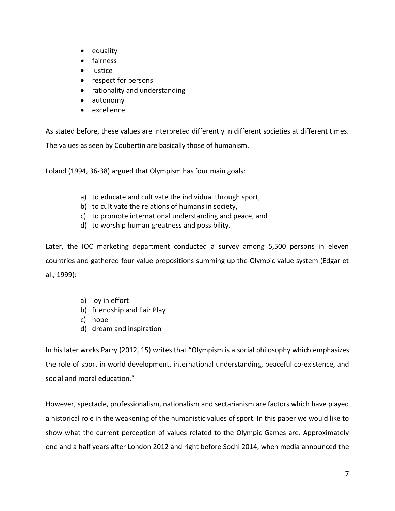- equality
- **•** fairness
- justice
- respect for persons
- rationality and understanding
- autonomy
- excellence

As stated before, these values are interpreted differently in different societies at different times.

The values as seen by Coubertin are basically those of humanism.

Loland (1994, 36-38) argued that Olympism has four main goals:

- a) to educate and cultivate the individual through sport,
- b) to cultivate the relations of humans in society,
- c) to promote international understanding and peace, and
- d) to worship human greatness and possibility.

Later, the IOC marketing department conducted a survey among 5,500 persons in eleven countries and gathered four value prepositions summing up the Olympic value system (Edgar et al., 1999):

- a) joy in effort
- b) friendship and Fair Play
- c) hope
- d) dream and inspiration

In his later works Parry (2012, 15) writes that "Olympism is a social philosophy which emphasizes the role of sport in world development, international understanding, peaceful co-existence, and social and moral education."

However, spectacle, professionalism, nationalism and sectarianism are factors which have played a historical role in the weakening of the humanistic values of sport. In this paper we would like to show what the current perception of values related to the Olympic Games are. Approximately one and a half years after London 2012 and right before Sochi 2014, when media announced the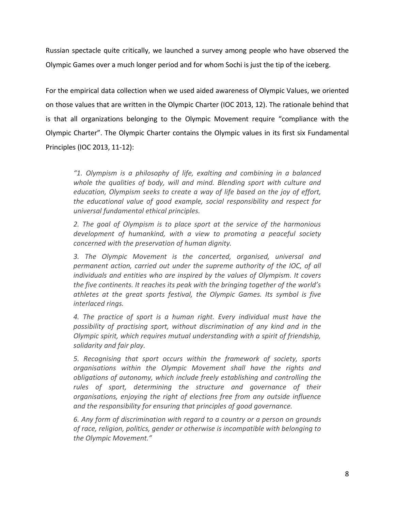Russian spectacle quite critically, we launched a survey among people who have observed the Olympic Games over a much longer period and for whom Sochi is just the tip of the iceberg.

For the empirical data collection when we used aided awareness of Olympic Values, we oriented on those values that are written in the Olympic Charter (IOC 2013, 12). The rationale behind that is that all organizations belonging to the Olympic Movement require "compliance with the Olympic Charter". The Olympic Charter contains the Olympic values in its first six Fundamental Principles (IOC 2013, 11-12):

*"1. Olympism is a philosophy of life, exalting and combining in a balanced whole the qualities of body, will and mind. Blending sport with culture and education, Olympism seeks to create a way of life based on the joy of effort, the educational value of good example, social responsibility and respect for universal fundamental ethical principles.*

*2. The goal of Olympism is to place sport at the service of the harmonious development of humankind, with a view to promoting a peaceful society concerned with the preservation of human dignity.*

*3. The Olympic Movement is the concerted, organised, universal and permanent action, carried out under the supreme authority of the IOC, of all individuals and entities who are inspired by the values of Olympism. It covers the five continents. It reaches its peak with the bringing together of the world's athletes at the great sports festival, the Olympic Games. Its symbol is five interlaced rings.*

*4. The practice of sport is a human right. Every individual must have the possibility of practising sport, without discrimination of any kind and in the Olympic spirit, which requires mutual understanding with a spirit of friendship, solidarity and fair play.*

*5. Recognising that sport occurs within the framework of society, sports organisations within the Olympic Movement shall have the rights and obligations of autonomy, which include freely establishing and controlling the*  rules of sport, determining the structure and governance of their *organisations, enjoying the right of elections free from any outside influence and the responsibility for ensuring that principles of good governance.* 

*6. Any form of discrimination with regard to a country or a person on grounds of race, religion, politics, gender or otherwise is incompatible with belonging to the Olympic Movement."*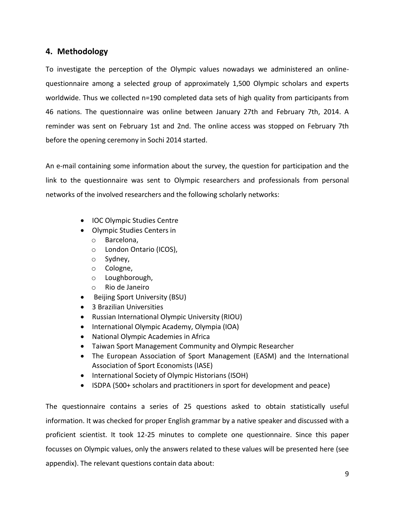## <span id="page-9-0"></span>**4. Methodology**

To investigate the perception of the Olympic values nowadays we administered an onlinequestionnaire among a selected group of approximately 1,500 Olympic scholars and experts worldwide. Thus we collected n=190 completed data sets of high quality from participants from 46 nations. The questionnaire was online between January 27th and February 7th, 2014. A reminder was sent on February 1st and 2nd. The online access was stopped on February 7th before the opening ceremony in Sochi 2014 started.

An e-mail containing some information about the survey, the question for participation and the link to the questionnaire was sent to Olympic researchers and professionals from personal networks of the involved researchers and the following scholarly networks:

- IOC Olympic Studies Centre
- Olympic Studies Centers in
	- o Barcelona,
	- o London Ontario (ICOS),
	- o Sydney,
	- o Cologne,
	- o Loughborough,
	- o Rio de Janeiro
- Beijing Sport University (BSU)
- 3 Brazilian Universities
- Russian International Olympic University (RIOU)
- International Olympic Academy, Olympia (IOA)
- National Olympic Academies in Africa
- Taiwan Sport Management Community and Olympic Researcher
- The European Association of Sport Management (EASM) and the International Association of Sport Economists (IASE)
- International Society of Olympic Historians (ISOH)
- ISDPA (500+ scholars and practitioners in sport for development and peace)

The questionnaire contains a series of 25 questions asked to obtain statistically useful information. It was checked for proper English grammar by a native speaker and discussed with a proficient scientist. It took 12-25 minutes to complete one questionnaire. Since this paper focusses on Olympic values, only the answers related to these values will be presented here (see appendix). The relevant questions contain data about: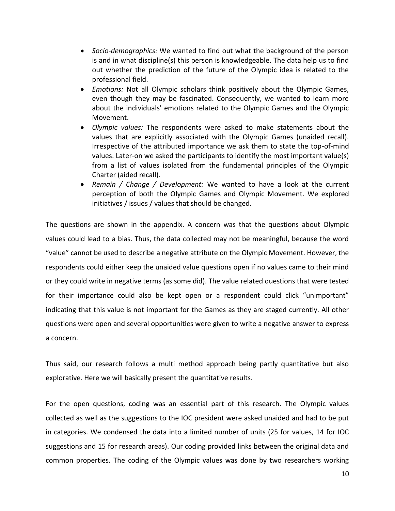- *Socio-demographics:* We wanted to find out what the background of the person is and in what discipline(s) this person is knowledgeable. The data help us to find out whether the prediction of the future of the Olympic idea is related to the professional field.
- *Emotions:* Not all Olympic scholars think positively about the Olympic Games, even though they may be fascinated. Consequently, we wanted to learn more about the individuals' emotions related to the Olympic Games and the Olympic Movement.
- *Olympic values:* The respondents were asked to make statements about the values that are explicitly associated with the Olympic Games (unaided recall). Irrespective of the attributed importance we ask them to state the top-of-mind values. Later-on we asked the participants to identify the most important value(s) from a list of values isolated from the fundamental principles of the Olympic Charter (aided recall).
- *Remain / Change / Development:* We wanted to have a look at the current perception of both the Olympic Games and Olympic Movement. We explored initiatives / issues / values that should be changed.

The questions are shown in the appendix. A concern was that the questions about Olympic values could lead to a bias. Thus, the data collected may not be meaningful, because the word "value" cannot be used to describe a negative attribute on the Olympic Movement. However, the respondents could either keep the unaided value questions open if no values came to their mind or they could write in negative terms (as some did). The value related questions that were tested for their importance could also be kept open or a respondent could click "unimportant" indicating that this value is not important for the Games as they are staged currently. All other questions were open and several opportunities were given to write a negative answer to express a concern.

Thus said, our research follows a multi method approach being partly quantitative but also explorative. Here we will basically present the quantitative results.

For the open questions, coding was an essential part of this research. The Olympic values collected as well as the suggestions to the IOC president were asked unaided and had to be put in categories. We condensed the data into a limited number of units (25 for values, 14 for IOC suggestions and 15 for research areas). Our coding provided links between the original data and common properties. The coding of the Olympic values was done by two researchers working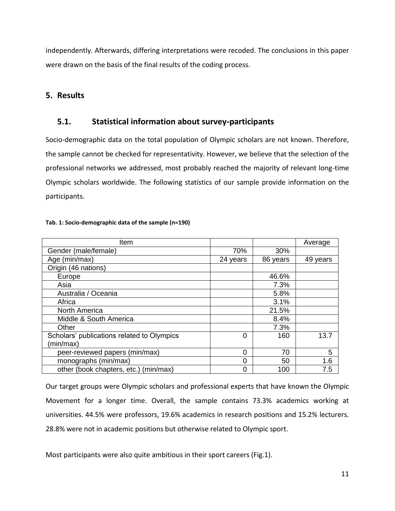independently. Afterwards, differing interpretations were recoded. The conclusions in this paper were drawn on the basis of the final results of the coding process.

## <span id="page-11-0"></span>**5. Results**

# <span id="page-11-1"></span>**5.1. Statistical information about survey-participants**

Socio-demographic data on the total population of Olympic scholars are not known. Therefore, the sample cannot be checked for representativity. However, we believe that the selection of the professional networks we addressed, most probably reached the majority of relevant long-time Olympic scholars worldwide. The following statistics of our sample provide information on the participants.

### **Tab. 1: Socio-demographic data of the sample (n=190)**

| Item                                       |          |          | Average  |
|--------------------------------------------|----------|----------|----------|
| Gender (male/female)                       | 70%      | 30%      |          |
| Age (min/max)                              | 24 years | 86 years | 49 years |
| Origin (46 nations)                        |          |          |          |
| Europe                                     |          | 46.6%    |          |
| Asia                                       |          | 7.3%     |          |
| Australia / Oceania                        |          | 5.8%     |          |
| Africa                                     |          | 3.1%     |          |
| <b>North America</b>                       |          | 21.5%    |          |
| Middle & South America                     |          | 8.4%     |          |
| Other                                      |          | 7.3%     |          |
| Scholars' publications related to Olympics | 0        | 160      | 13.7     |
| (min/max)                                  |          |          |          |
| peer-reviewed papers (min/max)             | Ω        | 70       | 5        |
| monographs (min/max)                       | 0        | 50       | 1.6      |
| other (book chapters, etc.) (min/max)      | 0        | 100      | 7.5      |

Our target groups were Olympic scholars and professional experts that have known the Olympic Movement for a longer time. Overall, the sample contains 73.3% academics working at universities. 44.5% were professors, 19.6% academics in research positions and 15.2% lecturers. 28.8% were not in academic positions but otherwise related to Olympic sport.

Most participants were also quite ambitious in their sport careers (Fig.1).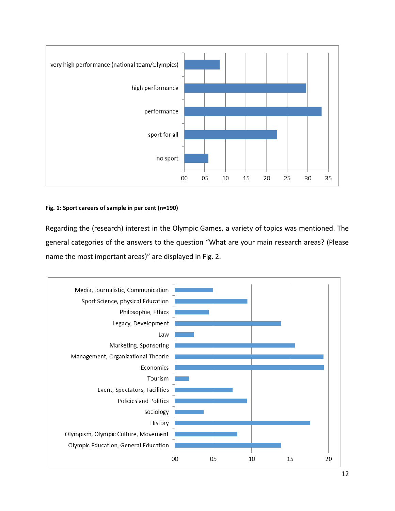

### **Fig. 1: Sport careers of sample in per cent (n=190)**

Regarding the (research) interest in the Olympic Games, a variety of topics was mentioned. The general categories of the answers to the question "What are your main research areas? (Please name the most important areas)" are displayed in Fig. 2.

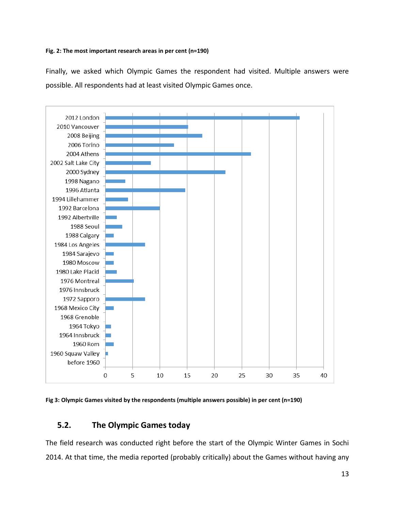#### **Fig. 2: The most important research areas in per cent (n=190)**

Finally, we asked which Olympic Games the respondent had visited. Multiple answers were possible. All respondents had at least visited Olympic Games once.



**Fig 3: Olympic Games visited by the respondents (multiple answers possible) in per cent (n=190)** 

## <span id="page-13-0"></span>**5.2. The Olympic Games today**

The field research was conducted right before the start of the Olympic Winter Games in Sochi 2014. At that time, the media reported (probably critically) about the Games without having any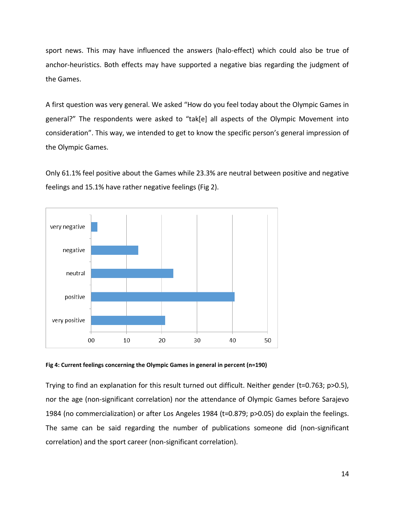sport news. This may have influenced the answers (halo-effect) which could also be true of anchor-heuristics. Both effects may have supported a negative bias regarding the judgment of the Games.

A first question was very general. We asked "How do you feel today about the Olympic Games in general?" The respondents were asked to "tak[e] all aspects of the Olympic Movement into consideration". This way, we intended to get to know the specific person's general impression of the Olympic Games.

Only 61.1% feel positive about the Games while 23.3% are neutral between positive and negative feelings and 15.1% have rather negative feelings (Fig 2).



**Fig 4: Current feelings concerning the Olympic Games in general in percent (n=190)** 

Trying to find an explanation for this result turned out difficult. Neither gender (t=0.763; p>0.5), nor the age (non-significant correlation) nor the attendance of Olympic Games before Sarajevo 1984 (no commercialization) or after Los Angeles 1984 (t=0.879; p>0.05) do explain the feelings. The same can be said regarding the number of publications someone did (non-significant correlation) and the sport career (non-significant correlation).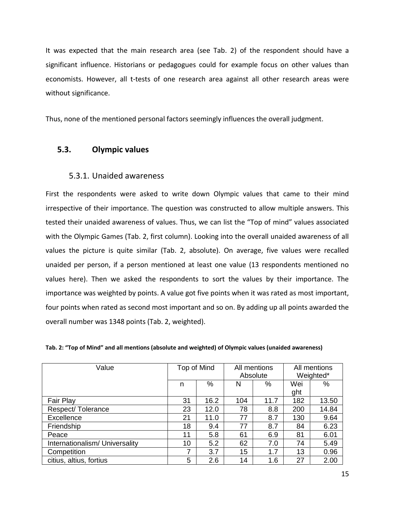It was expected that the main research area (see Tab. 2) of the respondent should have a significant influence. Historians or pedagogues could for example focus on other values than economists. However, all t-tests of one research area against all other research areas were without significance.

Thus, none of the mentioned personal factors seemingly influences the overall judgment.

## <span id="page-15-1"></span><span id="page-15-0"></span>**5.3. Olympic values**

## 5.3.1. Unaided awareness

First the respondents were asked to write down Olympic values that came to their mind irrespective of their importance. The question was constructed to allow multiple answers. This tested their unaided awareness of values. Thus, we can list the "Top of mind" values associated with the Olympic Games (Tab. 2, first column). Looking into the overall unaided awareness of all values the picture is quite similar (Tab. 2, absolute). On average, five values were recalled unaided per person, if a person mentioned at least one value (13 respondents mentioned no values here). Then we asked the respondents to sort the values by their importance. The importance was weighted by points. A value got five points when it was rated as most important, four points when rated as second most important and so on. By adding up all points awarded the overall number was 1348 points (Tab. 2, weighted).

| Value                          | Top of Mind |      | All mentions<br>Absolute |      | All mentions<br>Weighted* |       |
|--------------------------------|-------------|------|--------------------------|------|---------------------------|-------|
|                                | n           | $\%$ | N                        | %    | Wei                       | %     |
|                                |             |      |                          |      | ght                       |       |
| <b>Fair Play</b>               | 31          | 16.2 | 104                      | 11.7 | 182                       | 13.50 |
| Respect/Tolerance              | 23          | 12.0 | 78                       | 8.8  | 200                       | 14.84 |
| Excellence                     | 21          | 11.0 | 77                       | 8.7  | 130                       | 9.64  |
| Friendship                     | 18          | 9.4  | 77                       | 8.7  | 84                        | 6.23  |
| Peace                          | 11          | 5.8  | 61                       | 6.9  | 81                        | 6.01  |
| Internationalism/ Universality | 10          | 5.2  | 62                       | 7.0  | 74                        | 5.49  |
| Competition                    | 7           | 3.7  | 15                       | 1.7  | 13                        | 0.96  |
| citius, altius, fortius        | 5           | 2.6  | 14                       | 1.6  | 27                        | 2.00  |

**Tab. 2: "Top of Mind" and all mentions (absolute and weighted) of Olympic values (unaided awareness)**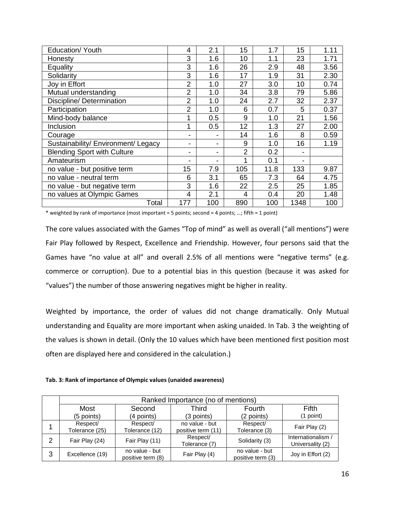| Education/ Youth                    | 4                        | 2.1 | 15             | 1.7  | 15   | 1.11 |
|-------------------------------------|--------------------------|-----|----------------|------|------|------|
| Honesty                             | 3                        | 1.6 | 10             | 1.1  | 23   | 1.71 |
| Equality                            | 3                        | 1.6 | 26             | 2.9  | 48   | 3.56 |
| Solidarity                          | 3                        | 1.6 | 17             | 1.9  | 31   | 2.30 |
| Joy in Effort                       | $\overline{2}$           | 1.0 | 27             | 3.0  | 10   | 0.74 |
| Mutual understanding                | $\overline{2}$           | 1.0 | 34             | 3.8  | 79   | 5.86 |
| Discipline/ Determination           | $\overline{2}$           | 1.0 | 24             | 2.7  | 32   | 2.37 |
| Participation                       | $\overline{2}$           | 1.0 | 6              | 0.7  | 5    | 0.37 |
| Mind-body balance                   |                          | 0.5 | 9              | 1.0  | 21   | 1.56 |
| Inclusion                           | 1                        | 0.5 | 12             | 1.3  | 27   | 2.00 |
| Courage                             |                          |     | 14             | 1.6  | 8    | 0.59 |
| Sustainability/ Environment/ Legacy | $\overline{\phantom{0}}$ | -   | 9              | 1.0  | 16   | 1.19 |
| <b>Blending Sport with Culture</b>  | $\blacksquare$           | -   | $\overline{2}$ | 0.2  |      |      |
| Amateurism                          |                          | -   | 1              | 0.1  |      |      |
| no value - but positive term        | 15                       | 7.9 | 105            | 11.8 | 133  | 9.87 |
| no value - neutral term             | 6                        | 3.1 | 65             | 7.3  | 64   | 4.75 |
| no value - but negative term        | 3                        | 1.6 | 22             | 2.5  | 25   | 1.85 |
| no values at Olympic Games          | 4                        | 2.1 | 4              | 0.4  | 20   | 1.48 |
| Total                               | 177                      | 100 | 890            | 100  | 1348 | 100  |

\* weighted by rank of importance (most important = 5 points; second = 4 points; …; fifth = 1 point)

The core values associated with the Games "Top of mind" as well as overall ("all mentions") were Fair Play followed by Respect, Excellence and Friendship. However, four persons said that the Games have "no value at all" and overall 2.5% of all mentions were "negative terms" (e.g. commerce or corruption). Due to a potential bias in this question (because it was asked for "values") the number of those answering negatives might be higher in reality.

Weighted by importance, the order of values did not change dramatically. Only Mutual understanding and Equality are more important when asking unaided. In Tab. 3 the weighting of the values is shown in detail. (Only the 10 values which have been mentioned first position most often are displayed here and considered in the calculation.)

**Tab. 3: Rank of importance of Olympic values (unaided awareness)** 

|             | Ranked Importance (no of mentions) |                                     |                                      |                                     |                                        |  |  |  |  |
|-------------|------------------------------------|-------------------------------------|--------------------------------------|-------------------------------------|----------------------------------------|--|--|--|--|
| <b>Most</b> |                                    | Second                              | Third                                | Fourth                              | Fifth                                  |  |  |  |  |
|             | (5 points)                         | (4 points)                          | (3 points)                           | (2 points)                          | (1 point)                              |  |  |  |  |
|             | Respect/<br>Tolerance (25)         | Respect/<br>Tolerance (12)          | no value - but<br>positive term (11) | Respect/<br>Tolerance (3)           | Fair Play (2)                          |  |  |  |  |
| 2           | Fair Play (24)                     | Fair Play (11)                      | Respect/<br>Tolerance (7)            | Solidarity (3)                      | Internationalism /<br>Universality (2) |  |  |  |  |
| 3           | Excellence (19)                    | no value - but<br>positive term (8) | Fair Play (4)                        | no value - but<br>positive term (3) | Joy in Effort (2)                      |  |  |  |  |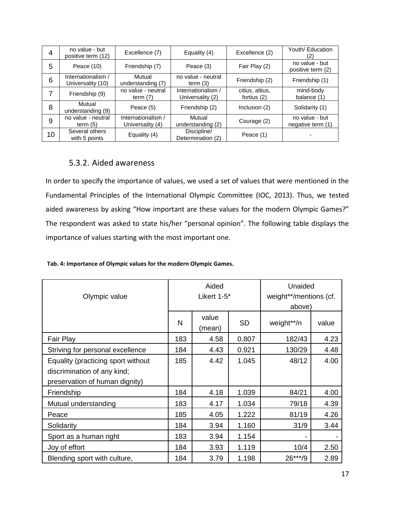| 4  | no value - but<br>positive term (12)    | Excellence (7)                         | Equality (4)                           | Excellence (2)                 | Youth/ Education                    |
|----|-----------------------------------------|----------------------------------------|----------------------------------------|--------------------------------|-------------------------------------|
| 5  | Peace (10)                              | Friendship (7)                         | Peace (3)                              | Fair Play (2)                  | no value - but<br>positive term (2) |
| 6  | Internationalism /<br>Universality (10) | Mutual<br>understanding (7)            | no value - neutral<br>term $(3)$       | Friendship (2)                 | Friendship (1)                      |
|    | Friendship (9)                          | no value - neutral<br>term $(7)$       | Internationalism /<br>Universality (2) | citius, altius,<br>fortius (2) | mind-body<br>balance (1)            |
| 8  | Mutual<br>understanding (9)             | Peace (5)                              | Friendship (2)                         | Inclusion (2)                  | Solidarity (1)                      |
| 9  | no value - neutral<br>term $(5)$        | Internationalism /<br>Universality (4) | Mutual<br>understanding (2)            | Courage (2)                    | no value - but<br>negative term (1) |
| 10 | Several others<br>with 5 points         | Equality (4)                           | Discipline/<br>Determination (2)       | Peace (1)                      |                                     |

## <span id="page-17-0"></span>5.3.2. Aided awareness

In order to specify the importance of values, we used a set of values that were mentioned in the Fundamental Principles of the International Olympic Committee (IOC, 2013). Thus, we tested aided awareness by asking "How important are these values for the modern Olympic Games?" The respondent was asked to state his/her "personal opinion". The following table displays the importance of values starting with the most important one.

#### **Tab. 4: Importance of Olympic values for the modern Olympic Games.**

|                                    |     | Aided           |           | Unaided                |       |  |
|------------------------------------|-----|-----------------|-----------|------------------------|-------|--|
| Olympic value                      |     | Likert 1-5*     |           | weight**/mentions (cf. |       |  |
|                                    |     |                 |           | above)                 |       |  |
|                                    | N   | value<br>(mean) | <b>SD</b> | weight**/n             | value |  |
| Fair Play                          | 183 | 4.58            | 0.807     | 182/43                 | 4.23  |  |
| Striving for personal excellence   | 184 | 4.43            | 0.921     | 130/29                 | 4.48  |  |
| Equality (practicing sport without | 185 | 4.42            | 1.045     | 48/12                  | 4.00  |  |
| discrimination of any kind;        |     |                 |           |                        |       |  |
| preservation of human dignity)     |     |                 |           |                        |       |  |
| Friendship                         | 184 | 4.18            | 1.039     | 84/21                  | 4.00  |  |
| Mutual understanding               | 183 | 4.17            | 1.034     | 79/18                  | 4.39  |  |
| Peace                              | 185 | 4.05            | 1.222     | 81/19                  | 4.26  |  |
| Solidarity                         | 184 | 3.94            | 1.160     | 31/9                   | 3.44  |  |
| Sport as a human right             | 183 | 3.94            | 1.154     |                        |       |  |
| Joy of effort                      | 184 | 3.93            | 1.119     | 10/4                   | 2.50  |  |
| Blending sport with culture,       | 184 | 3.79            | 1.198     | $26***/9$              | 2.89  |  |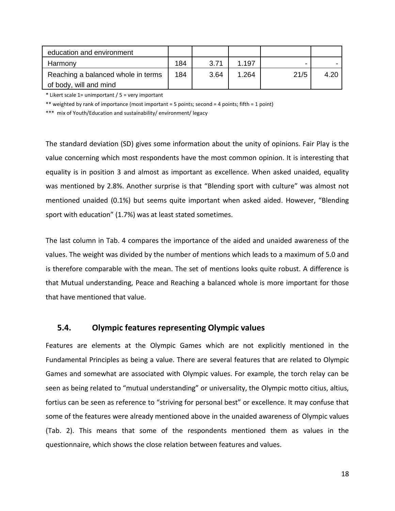| education and environment          |     |      |       |      |      |
|------------------------------------|-----|------|-------|------|------|
| Harmony                            | 184 | 3.71 | 1.197 |      |      |
| Reaching a balanced whole in terms | 184 | 3.64 | 1.264 | 21/5 | 4.20 |
| of body, will and mind             |     |      |       |      |      |

\* Likert scale 1= unimportant / 5 = very important

\*\* weighted by rank of importance (most important = 5 points; second = 4 points; fifth = 1 point)

\*\*\* mix of Youth/Education and sustainability/ environment/ legacy

The standard deviation (SD) gives some information about the unity of opinions. Fair Play is the value concerning which most respondents have the most common opinion. It is interesting that equality is in position 3 and almost as important as excellence. When asked unaided, equality was mentioned by 2.8%. Another surprise is that "Blending sport with culture" was almost not mentioned unaided (0.1%) but seems quite important when asked aided. However, "Blending sport with education" (1.7%) was at least stated sometimes.

The last column in Tab. 4 compares the importance of the aided and unaided awareness of the values. The weight was divided by the number of mentions which leads to a maximum of 5.0 and is therefore comparable with the mean. The set of mentions looks quite robust. A difference is that Mutual understanding, Peace and Reaching a balanced whole is more important for those that have mentioned that value.

### <span id="page-18-0"></span>**5.4. Olympic features representing Olympic values**

Features are elements at the Olympic Games which are not explicitly mentioned in the Fundamental Principles as being a value. There are several features that are related to Olympic Games and somewhat are associated with Olympic values. For example, the torch relay can be seen as being related to "mutual understanding" or universality, the Olympic motto citius, altius, fortius can be seen as reference to "striving for personal best" or excellence. It may confuse that some of the features were already mentioned above in the unaided awareness of Olympic values (Tab. 2). This means that some of the respondents mentioned them as values in the questionnaire, which shows the close relation between features and values.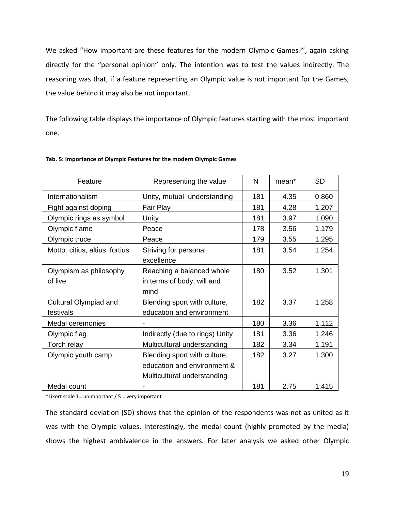We asked "How important are these features for the modern Olympic Games?", again asking directly for the "personal opinion" only. The intention was to test the values indirectly. The reasoning was that, if a feature representing an Olympic value is not important for the Games, the value behind it may also be not important.

The following table displays the importance of Olympic features starting with the most important one.

| Feature                            | Representing the value                                                                     | N   | mean <sup>*</sup> | <b>SD</b> |
|------------------------------------|--------------------------------------------------------------------------------------------|-----|-------------------|-----------|
| Internationalism                   | Unity, mutual understanding                                                                | 181 | 4.35              | 0.860     |
| Fight against doping               | Fair Play                                                                                  | 181 | 4.28              | 1.207     |
| Olympic rings as symbol            | Unity                                                                                      | 181 | 3.97              | 1.090     |
| Olympic flame                      | Peace                                                                                      | 178 | 3.56              | 1.179     |
| Olympic truce                      | Peace                                                                                      | 179 | 3.55              | 1.295     |
| Motto: citius, altius, fortius     | Striving for personal<br>excellence                                                        | 181 | 3.54              | 1.254     |
| Olympism as philosophy<br>of live  | Reaching a balanced whole<br>in terms of body, will and<br>mind                            | 180 | 3.52              | 1.301     |
| Cultural Olympiad and<br>festivals | Blending sport with culture,<br>education and environment                                  | 182 | 3.37              | 1.258     |
| Medal ceremonies                   |                                                                                            | 180 | 3.36              | 1.112     |
| Olympic flag                       | Indirectly (due to rings) Unity                                                            | 181 | 3.36              | 1.246     |
| Torch relay                        | Multicultural understanding                                                                | 182 | 3.34              | 1.191     |
| Olympic youth camp                 | Blending sport with culture,<br>education and environment &<br>Multicultural understanding | 182 | 3.27              | 1.300     |
| Medal count                        |                                                                                            | 181 | 2.75              | 1.415     |

#### **Tab. 5: Importance of Olympic Features for the modern Olympic Games**

\*Likert scale 1= unimportant / 5 = very important

The standard deviation (SD) shows that the opinion of the respondents was not as united as it was with the Olympic values. Interestingly, the medal count (highly promoted by the media) shows the highest ambivalence in the answers. For later analysis we asked other Olympic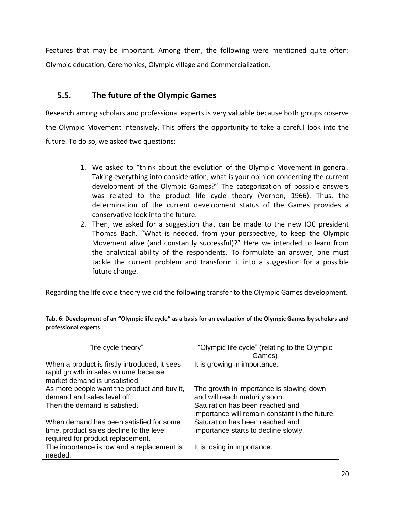Features that may be important. Among them, the following were mentioned quite often: Olympic education, Ceremonies, Olympic village and Commercialization.

# <span id="page-20-0"></span>**5.5. The future of the Olympic Games**

Research among scholars and professional experts is very valuable because both groups observe the Olympic Movement intensively. This offers the opportunity to take a careful look into the future. To do so, we asked two questions:

- 1. We asked to "think about the evolution of the Olympic Movement in general. Taking everything into consideration, what is your opinion concerning the current development of the Olympic Games?" The categorization of possible answers was related to the product life cycle theory (Vernon, 1966). Thus, the determination of the current development status of the Games provides a conservative look into the future.
- 2. Then, we asked for a suggestion that can be made to the new IOC president Thomas Bach. "What is needed, from your perspective, to keep the Olympic Movement alive (and constantly successful)?" Here we intended to learn from the analytical ability of the respondents. To formulate an answer, one must tackle the current problem and transform it into a suggestion for a possible future change.

Regarding the life cycle theory we did the following transfer to the Olympic Games development.

| "life cycle theory"                                                                                                      | "Olympic life cycle" (relating to the Olympic<br>Games)                           |
|--------------------------------------------------------------------------------------------------------------------------|-----------------------------------------------------------------------------------|
| When a product is firstly introduced, it sees<br>rapid growth in sales volume because<br>market demand is unsatisfied.   | It is growing in importance.                                                      |
| As more people want the product and buy it,<br>demand and sales level off.                                               | The growth in importance is slowing down<br>and will reach maturity soon.         |
| Then the demand is satisfied.                                                                                            | Saturation has been reached and<br>importance will remain constant in the future. |
| When demand has been satisfied for some<br>time, product sales decline to the level<br>required for product replacement. | Saturation has been reached and<br>importance starts to decline slowly.           |
| The importance is low and a replacement is<br>needed.                                                                    | It is losing in importance.                                                       |

**Tab. 6: Development of an "Olympic life cycle" as a basis for an evaluation of the Olympic Games by scholars and professional experts**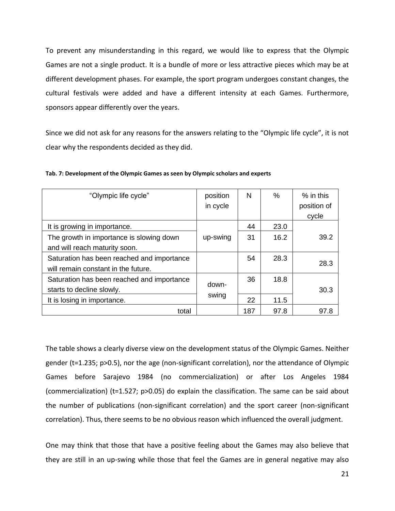To prevent any misunderstanding in this regard, we would like to express that the Olympic Games are not a single product. It is a bundle of more or less attractive pieces which may be at different development phases. For example, the sport program undergoes constant changes, the cultural festivals were added and have a different intensity at each Games. Furthermore, sponsors appear differently over the years.

Since we did not ask for any reasons for the answers relating to the "Olympic life cycle", it is not clear why the respondents decided as they did.

| "Olympic life cycle"                       | position | N   | ℅    | % in this   |
|--------------------------------------------|----------|-----|------|-------------|
|                                            | in cycle |     |      | position of |
|                                            |          |     |      | cycle       |
| It is growing in importance.               |          | 44  | 23.0 |             |
| The growth in importance is slowing down   | up-swing | 31  | 16.2 | 39.2        |
| and will reach maturity soon.              |          |     |      |             |
| Saturation has been reached and importance |          | 54  | 28.3 |             |
| will remain constant in the future.        |          |     |      | 28.3        |
| Saturation has been reached and importance |          | 36  | 18.8 |             |
| starts to decline slowly.                  | down-    |     |      | 30.3        |
| It is losing in importance.                | swing    | 22  | 11.5 |             |
| total                                      |          | 187 | 97.8 | 97.8        |

**Tab. 7: Development of the Olympic Games as seen by Olympic scholars and experts**

The table shows a clearly diverse view on the development status of the Olympic Games. Neither gender (t=1.235; p>0.5), nor the age (non-significant correlation), nor the attendance of Olympic Games before Sarajevo 1984 (no commercialization) or after Los Angeles 1984 (commercialization) (t=1.527; p>0.05) do explain the classification. The same can be said about the number of publications (non-significant correlation) and the sport career (non-significant correlation). Thus, there seems to be no obvious reason which influenced the overall judgment.

One may think that those that have a positive feeling about the Games may also believe that they are still in an up-swing while those that feel the Games are in general negative may also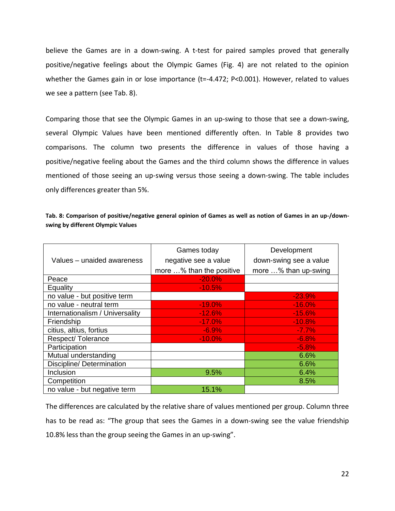believe the Games are in a down-swing. A t-test for paired samples proved that generally positive/negative feelings about the Olympic Games (Fig. 4) are not related to the opinion whether the Games gain in or lose importance (t=-4.472; P<0.001). However, related to values we see a pattern (see Tab. 8).

Comparing those that see the Olympic Games in an up-swing to those that see a down-swing, several Olympic Values have been mentioned differently often. In Table 8 provides two comparisons. The column two presents the difference in values of those having a positive/negative feeling about the Games and the third column shows the difference in values mentioned of those seeing an up-swing versus those seeing a down-swing. The table includes only differences greater than 5%.

| Tab. 8: Comparison of positive/negative general opinion of Games as well as notion of Games in an up-/down- |  |
|-------------------------------------------------------------------------------------------------------------|--|
| swing by different Olympic Values                                                                           |  |

|                                 | Games today              | Development            |
|---------------------------------|--------------------------|------------------------|
| Values – unaided awareness      | negative see a value     | down-swing see a value |
|                                 | more % than the positive | more % than up-swing   |
| Peace                           | $-20.0\%$                |                        |
| Equality                        | $-10.5%$                 |                        |
| no value - but positive term    |                          | $-23.9%$               |
| no value - neutral term         | $-19.0%$                 | $-16.0%$               |
| Internationalism / Universality | $-12.6%$                 | $-15.6%$               |
| Friendship                      | $-17.0%$                 | $-10.8%$               |
| citius, altius, fortius         | $-6.9%$                  | $-7.7\%$               |
| Respect/Tolerance               | $-10.0%$                 | $-6.8%$                |
| Participation                   |                          | $-5.8%$                |
| Mutual understanding            |                          | 6.6%                   |
| Discipline/ Determination       |                          | 6.6%                   |
| Inclusion                       | 9.5%                     | 6.4%                   |
| Competition                     |                          | 8.5%                   |
| no value - but negative term    | 15.1%                    |                        |

The differences are calculated by the relative share of values mentioned per group. Column three has to be read as: "The group that sees the Games in a down-swing see the value friendship 10.8% less than the group seeing the Games in an up-swing".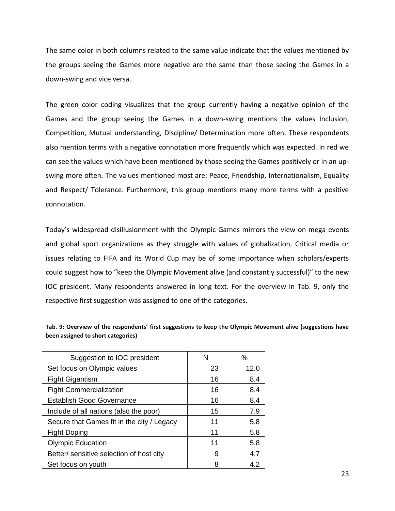The same color in both columns related to the same value indicate that the values mentioned by the groups seeing the Games more negative are the same than those seeing the Games in a down-swing and vice versa.

The green color coding visualizes that the group currently having a negative opinion of the Games and the group seeing the Games in a down-swing mentions the values Inclusion, Competition, Mutual understanding, Discipline/ Determination more often. These respondents also mention terms with a negative connotation more frequently which was expected. In red we can see the values which have been mentioned by those seeing the Games positively or in an upswing more often. The values mentioned most are: Peace, Friendship, Internationalism, Equality and Respect/ Tolerance. Furthermore, this group mentions many more terms with a positive connotation.

Today's widespread disillusionment with the Olympic Games mirrors the view on mega events and global sport organizations as they struggle with values of globalization. Critical media or issues relating to FIFA and its World Cup may be of some importance when scholars/experts could suggest how to "keep the Olympic Movement alive (and constantly successful)" to the new IOC president. Many respondents answered in long text. For the overview in Tab. 9, only the respective first suggestion was assigned to one of the categories.

| Suggestion to IOC president                | N  | %    |
|--------------------------------------------|----|------|
| Set focus on Olympic values                | 23 | 12.0 |
| <b>Fight Gigantism</b>                     | 16 | 8.4  |
| <b>Fight Commercialization</b>             | 16 | 8.4  |
| <b>Establish Good Governance</b>           | 16 | 8.4  |
| Include of all nations (also the poor)     | 15 | 7.9  |
| Secure that Games fit in the city / Legacy | 11 | 5.8  |
| <b>Fight Doping</b>                        | 11 | 5.8  |
| <b>Olympic Education</b>                   | 11 | 5.8  |
| Better/ sensitive selection of host city   | 9  | 4.7  |
| Set focus on youth                         | 8  | 4.2  |

**Tab. 9: Overview of the respondents' first suggestions to keep the Olympic Movement alive (suggestions have been assigned to short categories)**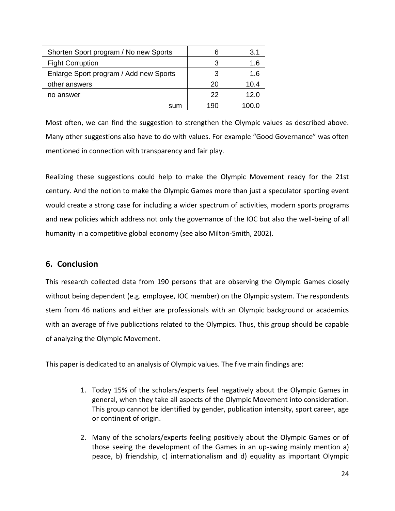| Shorten Sport program / No new Sports  | 6   | 3.1   |
|----------------------------------------|-----|-------|
| <b>Fight Corruption</b>                | 3   | 1.6   |
| Enlarge Sport program / Add new Sports | 3   | 1.6   |
| other answers                          | 20  | 10.4  |
| no answer                              | 22  | 12.0  |
| sum                                    | 190 | 100.0 |

Most often, we can find the suggestion to strengthen the Olympic values as described above. Many other suggestions also have to do with values. For example "Good Governance" was often mentioned in connection with transparency and fair play.

Realizing these suggestions could help to make the Olympic Movement ready for the 21st century. And the notion to make the Olympic Games more than just a speculator sporting event would create a strong case for including a wider spectrum of activities, modern sports programs and new policies which address not only the governance of the IOC but also the well-being of all humanity in a competitive global economy (see also Milton-Smith, 2002).

## <span id="page-24-0"></span>**6. Conclusion**

This research collected data from 190 persons that are observing the Olympic Games closely without being dependent (e.g. employee, IOC member) on the Olympic system. The respondents stem from 46 nations and either are professionals with an Olympic background or academics with an average of five publications related to the Olympics. Thus, this group should be capable of analyzing the Olympic Movement.

This paper is dedicated to an analysis of Olympic values. The five main findings are:

- 1. Today 15% of the scholars/experts feel negatively about the Olympic Games in general, when they take all aspects of the Olympic Movement into consideration. This group cannot be identified by gender, publication intensity, sport career, age or continent of origin.
- 2. Many of the scholars/experts feeling positively about the Olympic Games or of those seeing the development of the Games in an up-swing mainly mention a) peace, b) friendship, c) internationalism and d) equality as important Olympic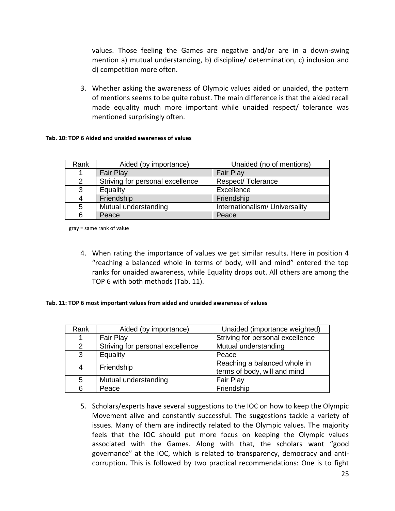values. Those feeling the Games are negative and/or are in a down-swing mention a) mutual understanding, b) discipline/ determination, c) inclusion and d) competition more often.

3. Whether asking the awareness of Olympic values aided or unaided, the pattern of mentions seems to be quite robust. The main difference is that the aided recall made equality much more important while unaided respect/ tolerance was mentioned surprisingly often.

### **Tab. 10: TOP 6 Aided and unaided awareness of values**

| Rank | Aided (by importance)            | Unaided (no of mentions)       |
|------|----------------------------------|--------------------------------|
|      | <b>Fair Play</b>                 | <b>Fair Play</b>               |
| 2    | Striving for personal excellence | Respect/Tolerance              |
| 3    | Equality                         | Excellence                     |
| 4    | Friendship                       | Friendship                     |
| 5    | Mutual understanding             | Internationalism/ Universality |
| 6    | Peace                            | Peace                          |

gray = same rank of value

4. When rating the importance of values we get similar results. Here in position 4 "reaching a balanced whole in terms of body, will and mind" entered the top ranks for unaided awareness, while Equality drops out. All others are among the TOP 6 with both methods (Tab. 11).

#### **Tab. 11: TOP 6 most important values from aided and unaided awareness of values**

| Rank | Aided (by importance)            | Unaided (importance weighted)    |
|------|----------------------------------|----------------------------------|
|      | <b>Fair Play</b>                 | Striving for personal excellence |
| 2    | Striving for personal excellence | Mutual understanding             |
| 3    | Equality                         | Peace                            |
| 4    | Friendship                       | Reaching a balanced whole in     |
|      |                                  | terms of body, will and mind     |
| 5    | Mutual understanding             | <b>Fair Play</b>                 |
| 6    | Peace                            | Friendship                       |

5. Scholars/experts have several suggestions to the IOC on how to keep the Olympic Movement alive and constantly successful. The suggestions tackle a variety of issues. Many of them are indirectly related to the Olympic values. The majority feels that the IOC should put more focus on keeping the Olympic values associated with the Games. Along with that, the scholars want "good governance" at the IOC, which is related to transparency, democracy and anticorruption. This is followed by two practical recommendations: One is to fight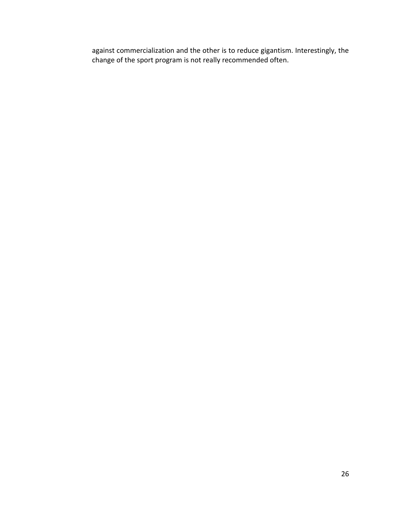against commercialization and the other is to reduce gigantism. Interestingly, the change of the sport program is not really recommended often.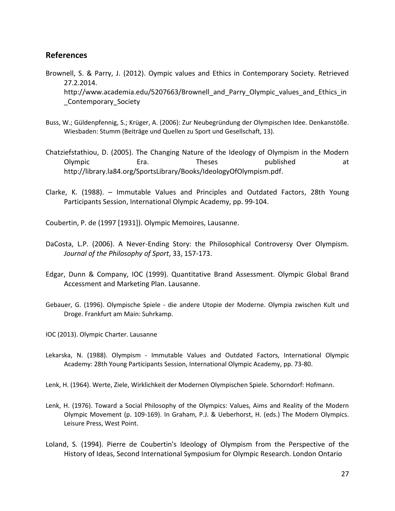## <span id="page-27-0"></span>**References**

- Brownell, S. & Parry, J. (2012). Oympic values and Ethics in Contemporary Society. Retrieved 27.2.2014. [http://www.academia.edu/5207663/Brownell\\_and\\_Parry\\_Olympic\\_values\\_and\\_Ethics\\_in](http://www.academia.edu/5207663/Brownell_and_Parry_-Olympic_Values_and_Ethics_in_Contemporary_Society) [\\_Contemporary\\_Society](http://www.academia.edu/5207663/Brownell_and_Parry_-Olympic_Values_and_Ethics_in_Contemporary_Society)
- Buss, W.; Güldenpfennig, S.; Krüger, A. (2006): Zur Neubegründung der Olympischen Idee. Denkanstöße. Wiesbaden: Stumm (Beiträge und Quellen zu Sport und Gesellschaft, 13).
- Chatziefstathiou, D. (2005). The Changing Nature of the Ideology of Olympism in the Modern Olympic **Era.** Era. Theses published at http://library.la84.org/SportsLibrary/Books/IdeologyOfOlympism.pdf.
- Clarke, K. (1988). Immutable Values and Principles and Outdated Factors, 28th Young Participants Session, International Olympic Academy, pp. 99-104.

Coubertin, P. de (1997 [1931]). Olympic Memoires, Lausanne.

- DaCosta, L.P. (2006). A Never-Ending Story: the Philosophical Controversy Over Olympism. *Journal of the Philosophy of Sport*, 33, 157-173.
- Edgar, Dunn & Company, IOC (1999). Quantitative Brand Assessment. Olympic Global Brand Accessment and Marketing Plan. Lausanne.
- Gebauer, G. (1996). Olympische Spiele die andere Utopie der Moderne. Olympia zwischen Kult und Droge. Frankfurt am Main: Suhrkamp.
- IOC (2013). Olympic Charter. Lausanne
- Lekarska, N. (1988). Olympism Immutable Values and Outdated Factors, International Olympic Academy: 28th Young Participants Session, International Olympic Academy, pp. 73-80.

Lenk, H. (1964). Werte, Ziele, Wirklichkeit der Modernen Olympischen Spiele. Schorndorf: Hofmann.

- Lenk, H. (1976). Toward a Social Philosophy of the Olympics: Values, Aims and Reality of the Modern Olympic Movement (p. 109-169). In Graham, P.J. & Ueberhorst, H. (eds.) The Modern Olympics. Leisure Press, West Point.
- Loland, S. (1994). Pierre de Coubertin's Ideology of Olympism from the Perspective of the History of Ideas, Second International Symposium for Olympic Research. London Ontario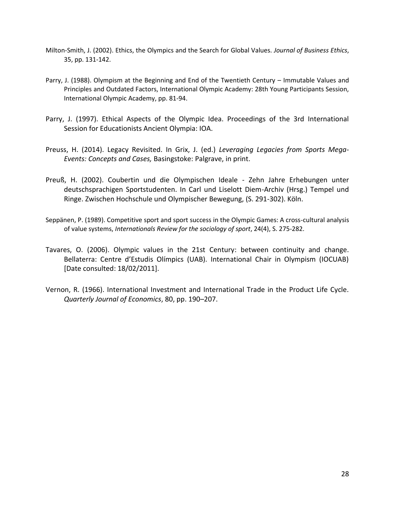- Milton-Smith, J. (2002). Ethics, the Olympics and the Search for Global Values. *Journal of Business Ethics*, 35, pp. 131-142.
- Parry, J. (1988). Olympism at the Beginning and End of the Twentieth Century Immutable Values and Principles and Outdated Factors, International Olympic Academy: 28th Young Participants Session, International Olympic Academy, pp. 81-94.
- Parry, J. (1997). Ethical Aspects of the Olympic Idea. Proceedings of the 3rd International Session for Educationists Ancient Olympia: IOA.
- Preuss, H. (2014). Legacy Revisited. In Grix, J. (ed.) *Leveraging Legacies from Sports Mega-Events: Concepts and Cases,* Basingstoke: Palgrave, in print.
- Preuß, H. (2002). Coubertin und die Olympischen Ideale Zehn Jahre Erhebungen unter deutschsprachigen Sportstudenten. In Carl und Liselott Diem-Archiv (Hrsg.) Tempel und Ringe. Zwischen Hochschule und Olympischer Bewegung, (S. 291-302). Köln.
- Seppänen, P. (1989). Competitive sport and sport success in the Olympic Games: A cross-cultural analysis of value systems, *Internationals Review for the sociology of sport*, 24(4), S. 275-282.
- Tavares, O. (2006). Olympic values in the 21st Century: between continuity and change. Bellaterra: Centre d'Estudis Olímpics (UAB). International Chair in Olympism (IOCUAB) [Date consulted: 18/02/2011].
- Vernon, R. (1966). International Investment and International Trade in the Product Life Cycle. *Quarterly Journal of Economics*, 80, pp. 190–207.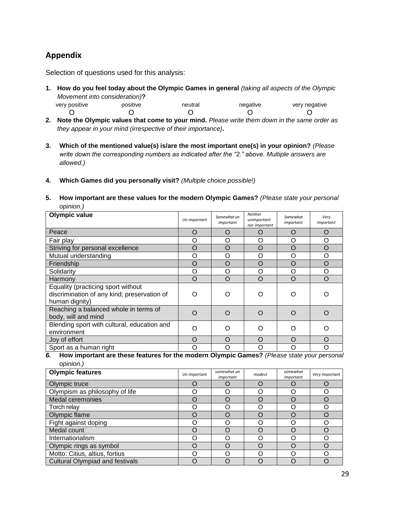# <span id="page-29-0"></span>**Appendix**

Selection of questions used for this analysis:

- **1. How do you feel today about the Olympic Games in general** *(taking all aspects of the Olympic Movement into consideration)***?**  very positive positive neutral negative very negative
	- O O O O O
- **2. Note the Olympic values that come to your mind.** *Please write them down in the same order as they appear in your mind (irrespective of their importance)***.**
- **3. Which of the mentioned value(s) is/are the most important one(s) in your opinion?** *(Please write down the corresponding numbers as indicated after the "2." above. Multiple answers are allowed.)*
- **4. Which Games did you personally visit?** *(Multiple choice possible!)*
- **5. How important are these values for the modern Olympic Games?** *(Please state your personal opinion.)*

| <b>Olympic value</b>                                                                                | Un important | Somewhat un<br>important | Neither<br>unimportant<br>nor important | Somewhat<br>important | Very<br>important |
|-----------------------------------------------------------------------------------------------------|--------------|--------------------------|-----------------------------------------|-----------------------|-------------------|
| Peace                                                                                               | O            | $\mathcal{L}$            | O                                       | O                     | O                 |
| Fair play                                                                                           | Ω            | O                        | O                                       | O                     | O                 |
| Striving for personal excellence                                                                    | O            | O                        | O                                       | $\circ$               | $\circ$           |
| Mutual understanding                                                                                | Ω            | Ω                        | O                                       | O                     | O                 |
| Friendship                                                                                          | O            | O                        | O                                       | O                     | $\circ$           |
| Solidarity                                                                                          | Ω            | Ω                        | O                                       | O                     | O                 |
| Harmony                                                                                             | O            | $\Omega$                 | $\circ$                                 | $\circ$               | $\circ$           |
| Equality (practicing sport without<br>discrimination of any kind; preservation of<br>human dignity) | Ω            |                          | ( )                                     | Ω                     |                   |
| Reaching a balanced whole in terms of<br>body, will and mind                                        | $\Omega$     | ∩                        | O                                       | $\Omega$              | ∩                 |
| Blending sport with cultural, education and<br>environment                                          | ∩            | ∩                        | Ω                                       | Ω                     | ∩                 |
| Joy of effort                                                                                       | O            | $\Omega$                 | O                                       | O                     | O                 |
| Sport as a human right                                                                              |              |                          |                                         | O                     | Ω                 |

*6.* **How important are these features for the modern Olympic Games?** *(Please state your personal opinion.)* 

| <b>Olympic features</b>                | Un important | somewhat un<br>important | modest | somewhat<br>important | Very important |
|----------------------------------------|--------------|--------------------------|--------|-----------------------|----------------|
| Olympic truce                          |              |                          |        |                       |                |
| Olympism as philosophy of life         |              |                          | 0      |                       |                |
| Medal ceremonies                       | 0            |                          | ( )    | O                     |                |
| Torch relay                            | 〔 〕          |                          | O      | 0                     |                |
| Olympic flame                          | 0            |                          | ( )    | $\cap$                |                |
| Fight against doping                   | ו            |                          | O      | Ω                     |                |
| Medal count                            | $\Box$       |                          | O      | O                     |                |
| Internationalism                       | 〔 〕          |                          | Ω      |                       |                |
| Olympic rings as symbol                | ( )          |                          | O      | O                     |                |
| Motto: Citius, altius, fortius         | ו            |                          | ∩      | Ω                     |                |
| <b>Cultural Olympiad and festivals</b> |              |                          |        |                       |                |